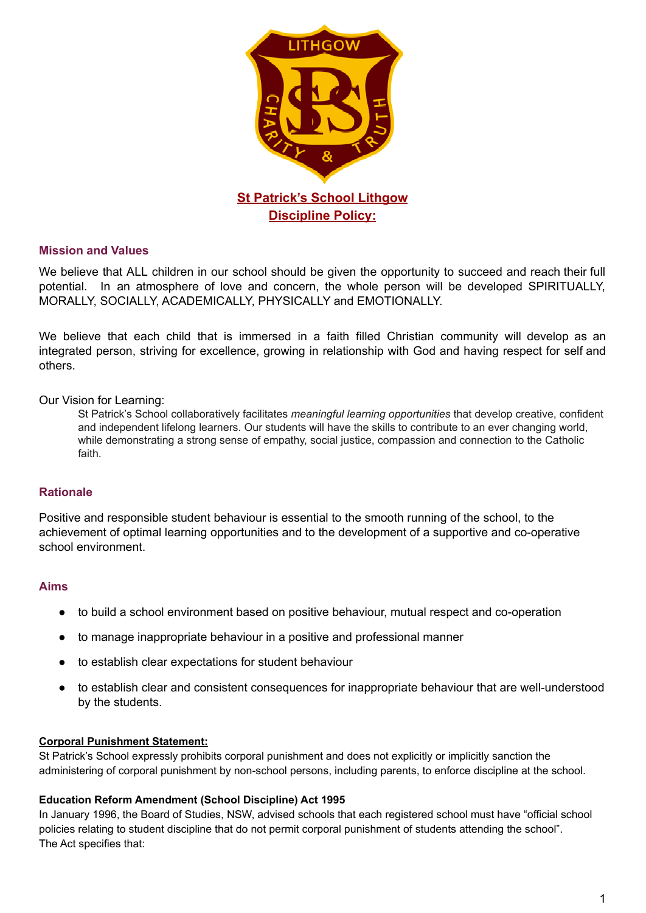

## **Mission and Values**

We believe that ALL children in our school should be given the opportunity to succeed and reach their full potential. In an atmosphere of love and concern, the whole person will be developed SPIRITUALLY, MORALLY, SOCIALLY, ACADEMICALLY, PHYSICALLY and EMOTIONALLY.

We believe that each child that is immersed in a faith filled Christian community will develop as an integrated person, striving for excellence, growing in relationship with God and having respect for self and others.

#### Our Vision for Learning:

St Patrick's School collaboratively facilitates *meaningful learning opportunities* that develop creative, confident and independent lifelong learners. Our students will have the skills to contribute to an ever changing world, while demonstrating a strong sense of empathy, social justice, compassion and connection to the Catholic faith.

#### **Rationale**

Positive and responsible student behaviour is essential to the smooth running of the school, to the achievement of optimal learning opportunities and to the development of a supportive and co-operative school environment.

#### **Aims**

- to build a school environment based on positive behaviour, mutual respect and co-operation
- to manage inappropriate behaviour in a positive and professional manner
- to establish clear expectations for student behaviour
- to establish clear and consistent consequences for inappropriate behaviour that are well-understood by the students.

#### **Corporal Punishment Statement:**

St Patrick's School expressly prohibits corporal punishment and does not explicitly or implicitly sanction the administering of corporal punishment by non-school persons, including parents, to enforce discipline at the school.

#### **Education Reform Amendment (School Discipline) Act 1995**

In January 1996, the Board of Studies, NSW, advised schools that each registered school must have "official school policies relating to student discipline that do not permit corporal punishment of students attending the school". The Act specifies that: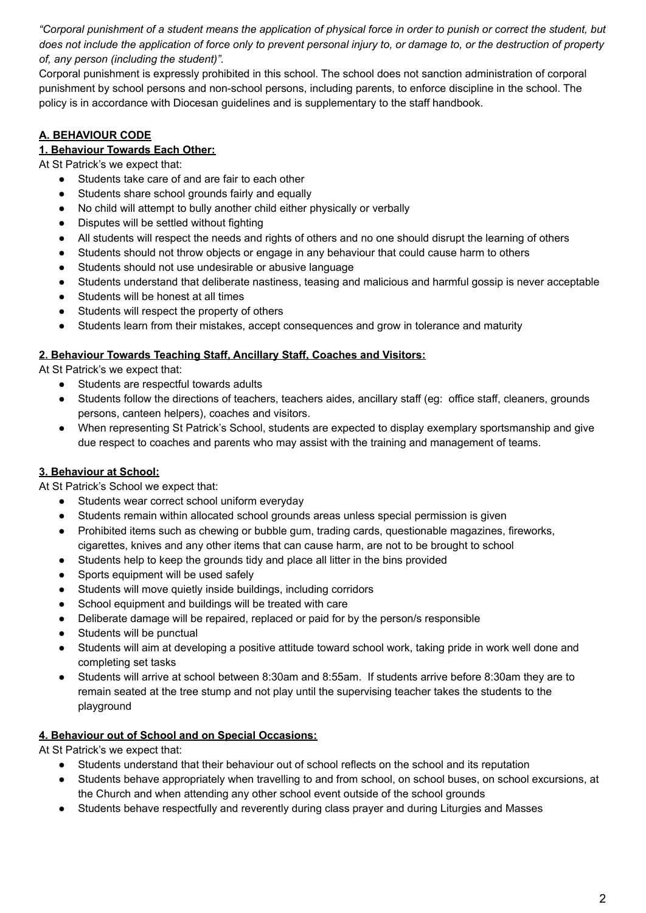"Corporal punishment of a student means the application of physical force in order to punish or correct the student, but does not include the application of force only to prevent personal injury to, or damage to, or the destruction of property *of, any person (including the student)".*

Corporal punishment is expressly prohibited in this school. The school does not sanction administration of corporal punishment by school persons and non-school persons, including parents, to enforce discipline in the school. The policy is in accordance with Diocesan guidelines and is supplementary to the staff handbook.

# **A. BEHAVIOUR CODE**

# **1. Behaviour Towards Each Other:**

At St Patrick's we expect that:

- Students take care of and are fair to each other
- Students share school grounds fairly and equally
- No child will attempt to bully another child either physically or verbally
- Disputes will be settled without fighting
- All students will respect the needs and rights of others and no one should disrupt the learning of others
- Students should not throw objects or engage in any behaviour that could cause harm to others
- Students should not use undesirable or abusive language
- Students understand that deliberate nastiness, teasing and malicious and harmful gossip is never acceptable
- Students will be honest at all times
- Students will respect the property of others
- Students learn from their mistakes, accept consequences and grow in tolerance and maturity

#### **2. Behaviour Towards Teaching Staff, Ancillary Staff, Coaches and Visitors:**

At St Patrick's we expect that:

- Students are respectful towards adults
- Students follow the directions of teachers, teachers aides, ancillary staff (eg: office staff, cleaners, grounds persons, canteen helpers), coaches and visitors.
- When representing St Patrick's School, students are expected to display exemplary sportsmanship and give due respect to coaches and parents who may assist with the training and management of teams.

## **3. Behaviour at School:**

At St Patrick's School we expect that:

- Students wear correct school uniform everyday
- Students remain within allocated school grounds areas unless special permission is given
- Prohibited items such as chewing or bubble gum, trading cards, questionable magazines, fireworks, cigarettes, knives and any other items that can cause harm, are not to be brought to school
- Students help to keep the grounds tidy and place all litter in the bins provided
- Sports equipment will be used safely
- Students will move quietly inside buildings, including corridors
- School equipment and buildings will be treated with care
- Deliberate damage will be repaired, replaced or paid for by the person/s responsible
- Students will be punctual
- Students will aim at developing a positive attitude toward school work, taking pride in work well done and completing set tasks
- Students will arrive at school between 8:30am and 8:55am. If students arrive before 8:30am they are to remain seated at the tree stump and not play until the supervising teacher takes the students to the playground

#### **4. Behaviour out of School and on Special Occasions:**

At St Patrick's we expect that:

- Students understand that their behaviour out of school reflects on the school and its reputation
- Students behave appropriately when travelling to and from school, on school buses, on school excursions, at the Church and when attending any other school event outside of the school grounds
- Students behave respectfully and reverently during class prayer and during Liturgies and Masses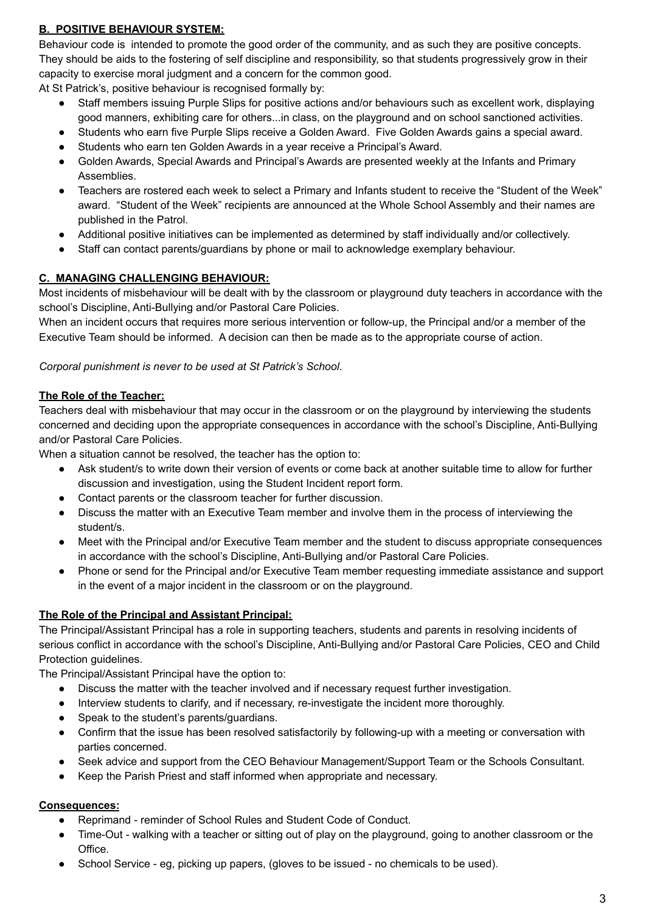## **B. POSITIVE BEHAVIOUR SYSTEM:**

Behaviour code is intended to promote the good order of the community, and as such they are positive concepts. They should be aids to the fostering of self discipline and responsibility, so that students progressively grow in their capacity to exercise moral judgment and a concern for the common good.

At St Patrick's, positive behaviour is recognised formally by:

- Staff members issuing Purple Slips for positive actions and/or behaviours such as excellent work, displaying good manners, exhibiting care for others...in class, on the playground and on school sanctioned activities.
- Students who earn five Purple Slips receive a Golden Award. Five Golden Awards gains a special award.
- Students who earn ten Golden Awards in a year receive a Principal's Award.
- Golden Awards, Special Awards and Principal's Awards are presented weekly at the Infants and Primary Assemblies.
- Teachers are rostered each week to select a Primary and Infants student to receive the "Student of the Week" award. "Student of the Week" recipients are announced at the Whole School Assembly and their names are published in the Patrol.
- Additional positive initiatives can be implemented as determined by staff individually and/or collectively.
- Staff can contact parents/guardians by phone or mail to acknowledge exemplary behaviour.

## **C. MANAGING CHALLENGING BEHAVIOUR:**

Most incidents of misbehaviour will be dealt with by the classroom or playground duty teachers in accordance with the school's Discipline, Anti-Bullying and/or Pastoral Care Policies.

When an incident occurs that requires more serious intervention or follow-up, the Principal and/or a member of the Executive Team should be informed. A decision can then be made as to the appropriate course of action.

*Corporal punishment is never to be used at St Patrick's School*.

## **The Role of the Teacher:**

Teachers deal with misbehaviour that may occur in the classroom or on the playground by interviewing the students concerned and deciding upon the appropriate consequences in accordance with the school's Discipline, Anti-Bullying and/or Pastoral Care Policies.

When a situation cannot be resolved, the teacher has the option to:

- Ask student/s to write down their version of events or come back at another suitable time to allow for further discussion and investigation, using the Student Incident report form.
- Contact parents or the classroom teacher for further discussion.
- Discuss the matter with an Executive Team member and involve them in the process of interviewing the student/s.
- Meet with the Principal and/or Executive Team member and the student to discuss appropriate consequences in accordance with the school's Discipline, Anti-Bullying and/or Pastoral Care Policies.
- Phone or send for the Principal and/or Executive Team member requesting immediate assistance and support in the event of a major incident in the classroom or on the playground.

## **The Role of the Principal and Assistant Principal:**

The Principal/Assistant Principal has a role in supporting teachers, students and parents in resolving incidents of serious conflict in accordance with the school's Discipline, Anti-Bullying and/or Pastoral Care Policies, CEO and Child Protection guidelines.

The Principal/Assistant Principal have the option to:

- Discuss the matter with the teacher involved and if necessary request further investigation.
- Interview students to clarify, and if necessary, re-investigate the incident more thoroughly.
- Speak to the student's parents/guardians.
- Confirm that the issue has been resolved satisfactorily by following-up with a meeting or conversation with parties concerned.
- Seek advice and support from the CEO Behaviour Management/Support Team or the Schools Consultant.
- Keep the Parish Priest and staff informed when appropriate and necessary.

## **Consequences:**

- Reprimand reminder of School Rules and Student Code of Conduct.
- Time-Out walking with a teacher or sitting out of play on the playground, going to another classroom or the Office.
- School Service eg, picking up papers, (gloves to be issued no chemicals to be used).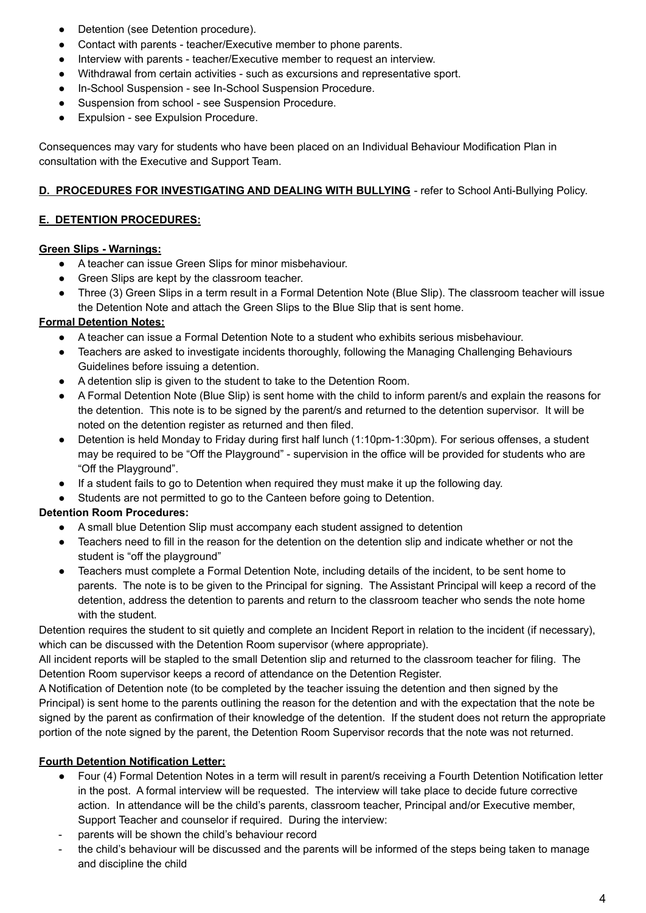- Detention (see Detention procedure).
- Contact with parents teacher/Executive member to phone parents.
- Interview with parents teacher/Executive member to request an interview.
- Withdrawal from certain activities such as excursions and representative sport.
- In-School Suspension see In-School Suspension Procedure.
- Suspension from school see Suspension Procedure.
- Expulsion see Expulsion Procedure.

Consequences may vary for students who have been placed on an Individual Behaviour Modification Plan in consultation with the Executive and Support Team.

#### **D. PROCEDURES FOR INVESTIGATING AND DEALING WITH BULLYING** - refer to School Anti-Bullying Policy.

#### **E. DETENTION PROCEDURES:**

#### **Green Slips - Warnings:**

- A teacher can issue Green Slips for minor misbehaviour.
- Green Slips are kept by the classroom teacher.
- Three (3) Green Slips in a term result in a Formal Detention Note (Blue Slip). The classroom teacher will issue the Detention Note and attach the Green Slips to the Blue Slip that is sent home.

## **Formal Detention Notes:**

- A teacher can issue a Formal Detention Note to a student who exhibits serious misbehaviour.
- Teachers are asked to investigate incidents thoroughly, following the Managing Challenging Behaviours Guidelines before issuing a detention.
- A detention slip is given to the student to take to the Detention Room.
- A Formal Detention Note (Blue Slip) is sent home with the child to inform parent/s and explain the reasons for the detention. This note is to be signed by the parent/s and returned to the detention supervisor. It will be noted on the detention register as returned and then filed.
- Detention is held Monday to Friday during first half lunch (1:10pm-1:30pm). For serious offenses, a student may be required to be "Off the Playground" - supervision in the office will be provided for students who are "Off the Playground".
- If a student fails to go to Detention when required they must make it up the following day.
- Students are not permitted to go to the Canteen before going to Detention.

## **Detention Room Procedures:**

- A small blue Detention Slip must accompany each student assigned to detention
- Teachers need to fill in the reason for the detention on the detention slip and indicate whether or not the student is "off the playground"
- Teachers must complete a Formal Detention Note, including details of the incident, to be sent home to parents. The note is to be given to the Principal for signing. The Assistant Principal will keep a record of the detention, address the detention to parents and return to the classroom teacher who sends the note home with the student.

Detention requires the student to sit quietly and complete an Incident Report in relation to the incident (if necessary), which can be discussed with the Detention Room supervisor (where appropriate).

All incident reports will be stapled to the small Detention slip and returned to the classroom teacher for filing. The Detention Room supervisor keeps a record of attendance on the Detention Register.

A Notification of Detention note (to be completed by the teacher issuing the detention and then signed by the Principal) is sent home to the parents outlining the reason for the detention and with the expectation that the note be signed by the parent as confirmation of their knowledge of the detention. If the student does not return the appropriate portion of the note signed by the parent, the Detention Room Supervisor records that the note was not returned.

# **Fourth Detention Notification Letter:**

- Four (4) Formal Detention Notes in a term will result in parent/s receiving a Fourth Detention Notification letter in the post. A formal interview will be requested. The interview will take place to decide future corrective action. In attendance will be the child's parents, classroom teacher, Principal and/or Executive member, Support Teacher and counselor if required. During the interview:
- parents will be shown the child's behaviour record
- the child's behaviour will be discussed and the parents will be informed of the steps being taken to manage and discipline the child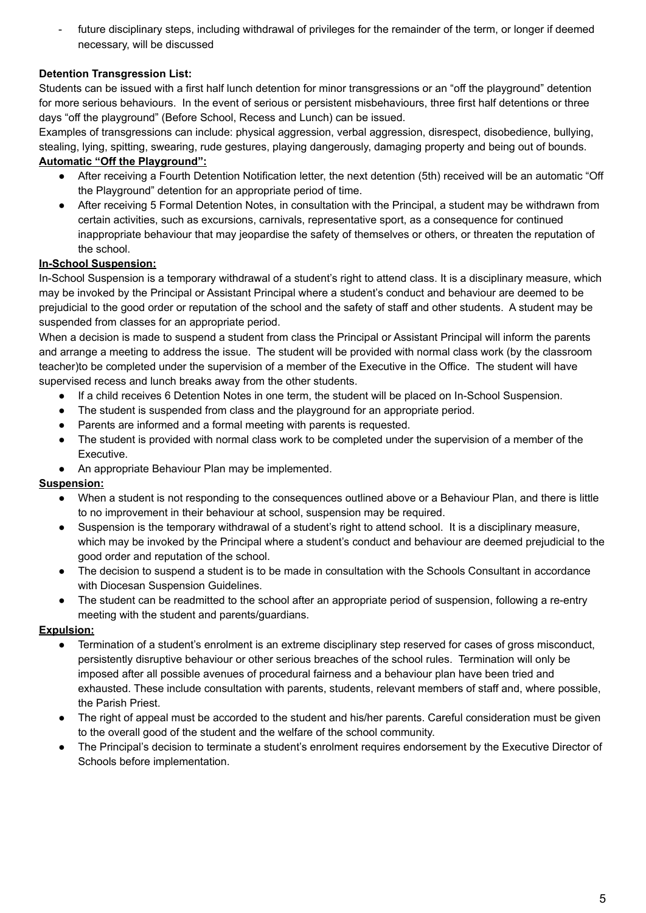future disciplinary steps, including withdrawal of privileges for the remainder of the term, or longer if deemed necessary, will be discussed

# **Detention Transgression List:**

Students can be issued with a first half lunch detention for minor transgressions or an "off the playground" detention for more serious behaviours. In the event of serious or persistent misbehaviours, three first half detentions or three days "off the playground" (Before School, Recess and Lunch) can be issued.

Examples of transgressions can include: physical aggression, verbal aggression, disrespect, disobedience, bullying, stealing, lying, spitting, swearing, rude gestures, playing dangerously, damaging property and being out of bounds. **Automatic "Off the Playground":**

- After receiving a Fourth Detention Notification letter, the next detention (5th) received will be an automatic "Off the Playground" detention for an appropriate period of time.
- After receiving 5 Formal Detention Notes, in consultation with the Principal, a student may be withdrawn from certain activities, such as excursions, carnivals, representative sport, as a consequence for continued inappropriate behaviour that may jeopardise the safety of themselves or others, or threaten the reputation of the school.

# **In-School Suspension:**

In-School Suspension is a temporary withdrawal of a student's right to attend class. It is a disciplinary measure, which may be invoked by the Principal or Assistant Principal where a student's conduct and behaviour are deemed to be prejudicial to the good order or reputation of the school and the safety of staff and other students. A student may be suspended from classes for an appropriate period.

When a decision is made to suspend a student from class the Principal or Assistant Principal will inform the parents and arrange a meeting to address the issue. The student will be provided with normal class work (by the classroom teacher)to be completed under the supervision of a member of the Executive in the Office. The student will have supervised recess and lunch breaks away from the other students.

- If a child receives 6 Detention Notes in one term, the student will be placed on In-School Suspension.
- The student is suspended from class and the playground for an appropriate period.
- Parents are informed and a formal meeting with parents is requested.
- The student is provided with normal class work to be completed under the supervision of a member of the Executive.
- An appropriate Behaviour Plan may be implemented.

## **Suspension:**

- When a student is not responding to the consequences outlined above or a Behaviour Plan, and there is little to no improvement in their behaviour at school, suspension may be required.
- Suspension is the temporary withdrawal of a student's right to attend school. It is a disciplinary measure, which may be invoked by the Principal where a student's conduct and behaviour are deemed prejudicial to the good order and reputation of the school.
- The decision to suspend a student is to be made in consultation with the Schools Consultant in accordance with Diocesan Suspension Guidelines.
- The student can be readmitted to the school after an appropriate period of suspension, following a re-entry meeting with the student and parents/guardians.

## **Expulsion:**

- Termination of a student's enrolment is an extreme disciplinary step reserved for cases of gross misconduct, persistently disruptive behaviour or other serious breaches of the school rules. Termination will only be imposed after all possible avenues of procedural fairness and a behaviour plan have been tried and exhausted. These include consultation with parents, students, relevant members of staff and, where possible, the Parish Priest.
- The right of appeal must be accorded to the student and his/her parents. Careful consideration must be given to the overall good of the student and the welfare of the school community.
- The Principal's decision to terminate a student's enrolment requires endorsement by the Executive Director of Schools before implementation.